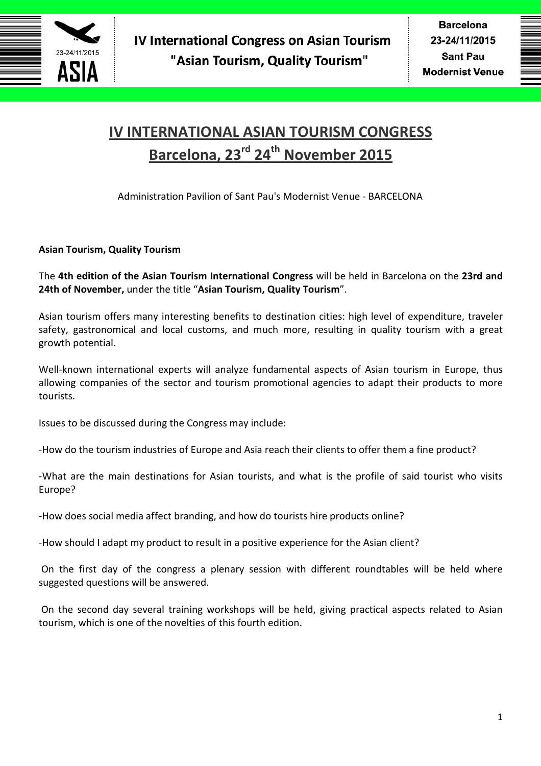

# **IV INTERNATIONAL ASIAN TOURISM CONGRESS Barcelona, 23rd 24th November 2015**

Administration Pavilion of Sant Pau's Modernist Venue - BARCELONA

# **Asian Tourism, Quality Tourism**

The **4th edition of the Asian Tourism International Congress** will be held in Barcelona on the **23rd and 24th of November,** under the title "**Asian Tourism, Quality Tourism**".

Asian tourism offers many interesting benefits to destination cities: high level of expenditure, traveler safety, gastronomical and local customs, and much more, resulting in quality tourism with a great growth potential.

Well-known international experts will analyze fundamental aspects of Asian tourism in Europe, thus allowing companies of the sector and tourism promotional agencies to adapt their products to more tourists.

Issues to be discussed during the Congress may include:

-How do the tourism industries of Europe and Asia reach their clients to offer them a fine product?

-What are the main destinations for Asian tourists, and what is the profile of said tourist who visits Europe?

-How does social media affect branding, and how do tourists hire products online?

-How should I adapt my product to result in a positive experience for the Asian client?

 On the first day of the congress a plenary session with different roundtables will be held where suggested questions will be answered.

 On the second day several training workshops will be held, giving practical aspects related to Asian tourism, which is one of the novelties of this fourth edition.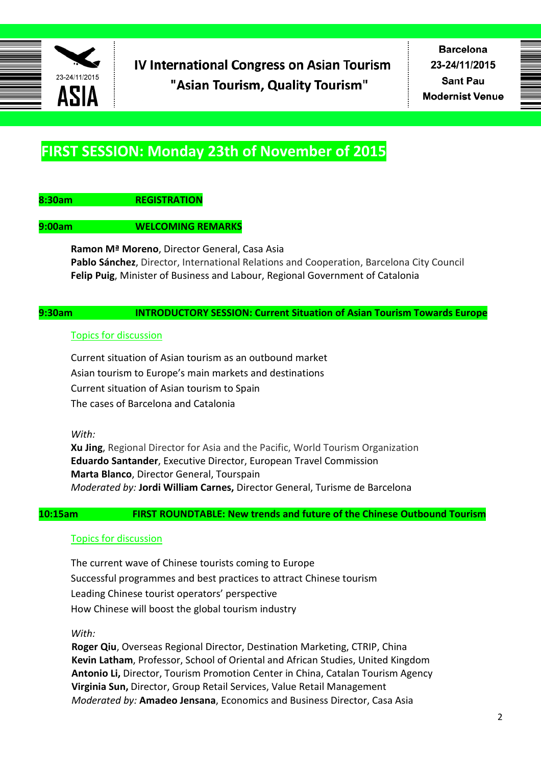

**Barcelona** 23-24/11/2015 **Sant Pau Modernist Venue** 

# **FIRST SESSION: Monday 23th of November of 2015**

# **8:30am REGISTRATION**

#### **9:00am WELCOMING REMARKS**

**Ramon Mª Moreno**, Director General, Casa Asia **Pablo Sánchez**, Director, International Relations and Cooperation, Barcelona City Council **Felip Puig**, Minister of Business and Labour, Regional Government of Catalonia

## **9:30am INTRODUCTORY SESSION: Current Situation of Asian Tourism Towards Europe**

#### Topics for discussion

Current situation of Asian tourism as an outbound market Asian tourism to Europe's main markets and destinations Current situation of Asian tourism to Spain The cases of Barcelona and Catalonia

*With:* 

**Xu Jing**, Regional Director for Asia and the Pacific, World Tourism Organization **Eduardo Santander**, Executive Director, European Travel Commission **Marta Blanco**, Director General, Tourspain *Moderated by:* **Jordi William Carnes,** Director General, Turisme de Barcelona

**10:15am FIRST ROUNDTABLE: New trends and future of the Chinese Outbound Tourism** 

#### Topics for discussion

The current wave of Chinese tourists coming to Europe Successful programmes and best practices to attract Chinese tourism Leading Chinese tourist operators' perspective How Chinese will boost the global tourism industry

*With:* 

**Roger Qiu**, Overseas Regional Director, Destination Marketing, CTRIP, China **Kevin Latham**, Professor, School of Oriental and African Studies, United Kingdom **Antonio Li,** Director, Tourism Promotion Center in China, Catalan Tourism Agency **Virginia Sun,** Director, Group Retail Services, Value Retail Management *Moderated by:* **Amadeo Jensana**, Economics and Business Director, Casa Asia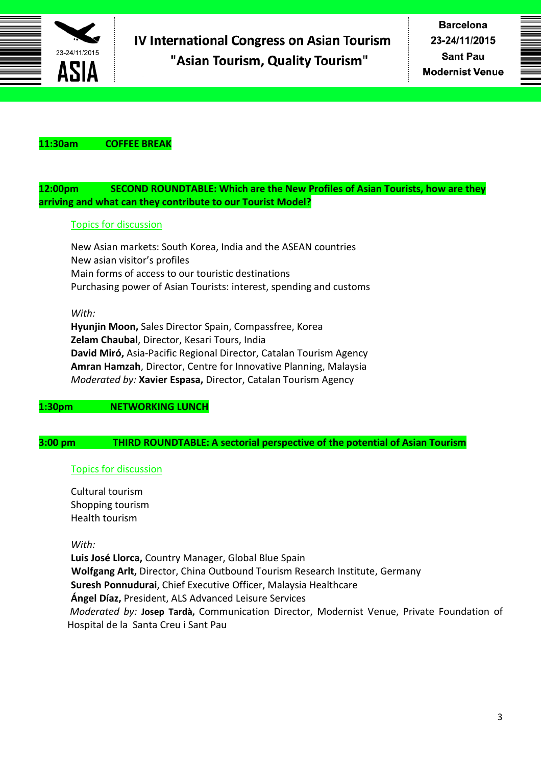

### **11:30am COFFEE BREAK**

## **12:00pm SECOND ROUNDTABLE: Which are the New Profiles of Asian Tourists, how are they arriving and what can they contribute to our Tourist Model?**

## Topics for discussion

New Asian markets: South Korea, India and the ASEAN countries New asian visitor's profiles Main forms of access to our touristic destinations Purchasing power of Asian Tourists: interest, spending and customs

#### *With:*

**Hyunjin Moon,** Sales Director Spain, Compassfree, Korea **Zelam Chaubal**, Director, Kesari Tours, India **David Miró,** Asia-Pacific Regional Director, Catalan Tourism Agency **Amran Hamzah**, Director, Centre for Innovative Planning, Malaysia *Moderated by:* **Xavier Espasa,** Director, Catalan Tourism Agency

## **1:30pm NETWORKING LUNCH**

# **3:00 pm THIRD ROUNDTABLE: A sectorial perspective of the potential of Asian Tourism**

## Topics for discussion

Cultural tourism Shopping tourism Health tourism

#### *With:*

**Luis José Llorca,** Country Manager, Global Blue Spain **Wolfgang Arlt,** Director, China Outbound Tourism Research Institute, Germany **Suresh Ponnudurai**, Chief Executive Officer, Malaysia Healthcare **Ángel Díaz,** President, ALS Advanced Leisure Services  *Moderated by:* **Josep Tardà,** Communication Director, Modernist Venue, Private Foundation of Hospital de la Santa Creu i Sant Pau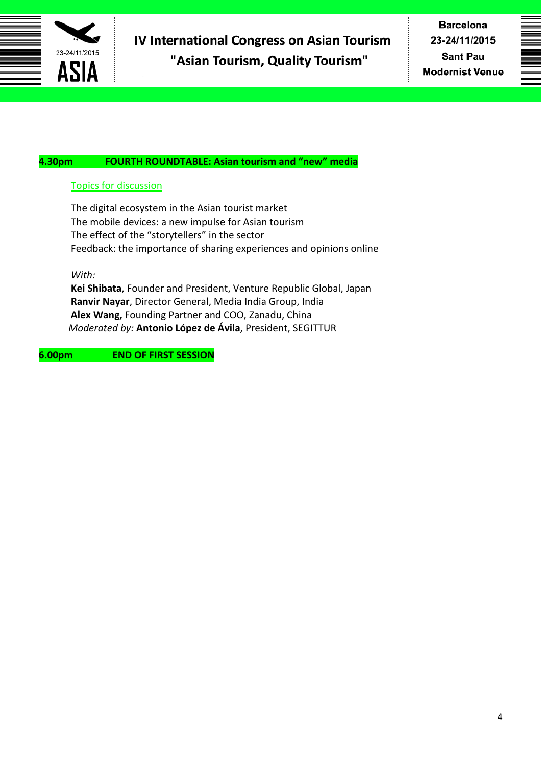

# **4.30pm FOURTH ROUNDTABLE: Asian tourism and "new" media**

# Topics for discussion

The digital ecosystem in the Asian tourist market The mobile devices: a new impulse for Asian tourism The effect of the "storytellers" in the sector Feedback: the importance of sharing experiences and opinions online

*With:* 

**Kei Shibata**, Founder and President, Venture Republic Global, Japan **Ranvir Nayar**, Director General, Media India Group, India **Alex Wang,** Founding Partner and COO, Zanadu, China *Moderated by:* **Antonio López de Ávila**, President, SEGITTUR

# **6.00pm END OF FIRST SESSION**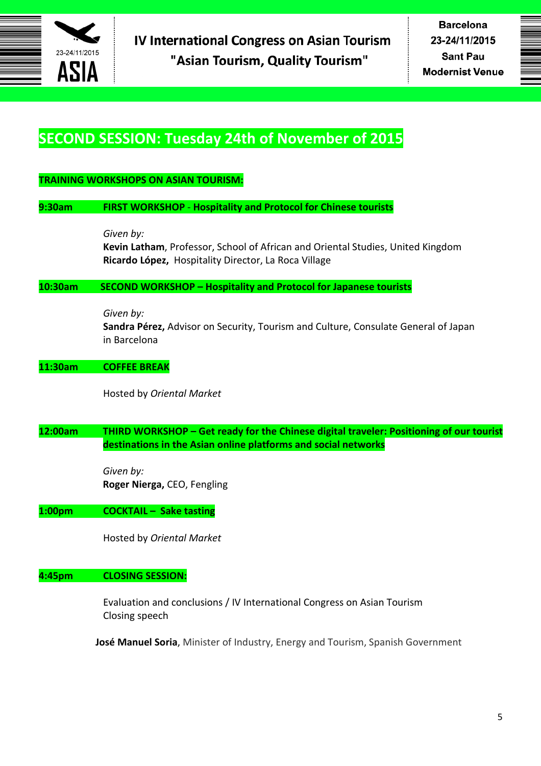

# **SECOND SESSION: Tuesday 24th of November of 2015**

# **TRAINING WORKSHOPS ON ASIAN TOURISM:**

#### **9:30am FIRST WORKSHOP** - **Hospitality and Protocol for Chinese tourists**

*Given by:* 

**Kevin Latham**, Professor, School of African and Oriental Studies, United Kingdom **Ricardo López,** Hospitality Director, La Roca Village

#### **10:30am SECOND WORKSHOP – Hospitality and Protocol for Japanese tourists**

*Given by:*

**Sandra Pérez,** Advisor on Security, Tourism and Culture, Consulate General of Japan in Barcelona

#### **11:30am COFFEE BREAK**

Hosted by *Oriental Market*

# **12:00am THIRD WORKSHOP – Get ready for the Chinese digital traveler: Positioning of our tourist destinations in the Asian online platforms and social networks**

*Given by:*  **Roger Nierga,** CEO, Fengling

## **1:00pm COCKTAIL – Sake tasting**

Hosted by *Oriental Market*

# **4:45pm CLOSING SESSION:**

Evaluation and conclusions / IV International Congress on Asian Tourism Closing speech

**José Manuel Soria**, Minister of Industry, Energy and Tourism, Spanish Government